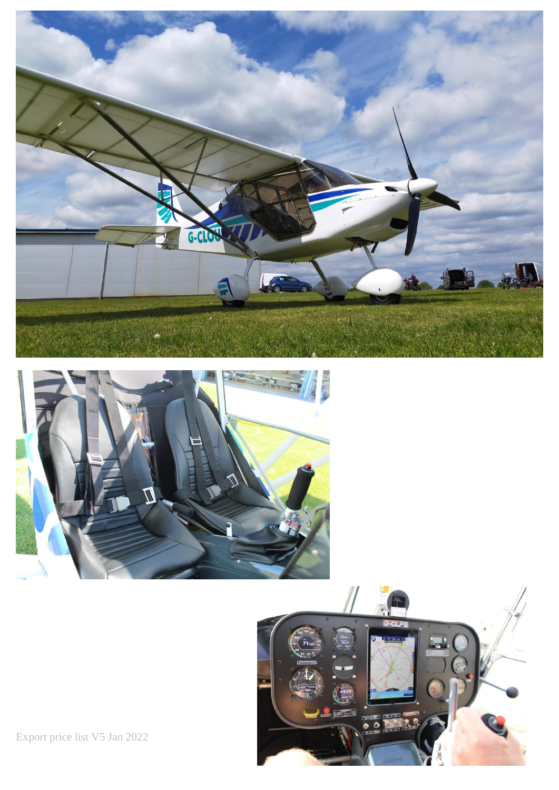





Export price list V5 Jan 2022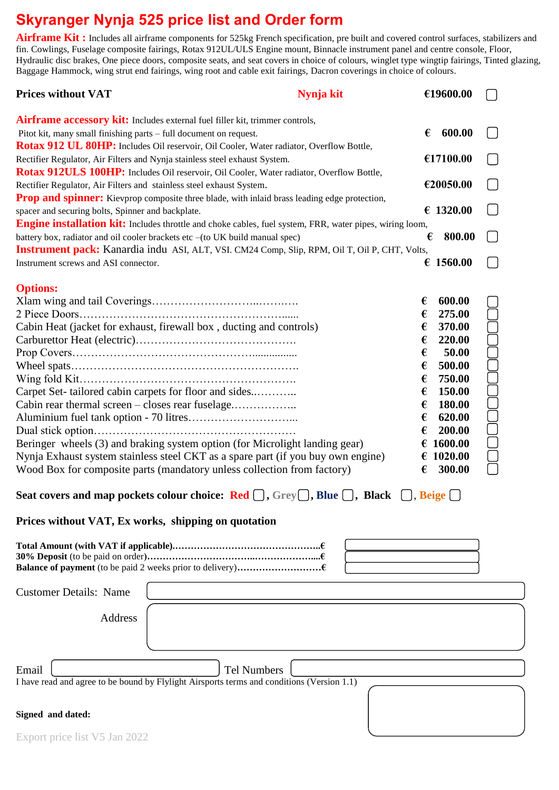# **Skyranger Nynja 525 price list and Order form**

Airframe Kit: Includes all airframe components for 525kg French specification, pre built and covered control surfaces, stabilizers and fin. Cowlings, Fuselage composite fairings, Rotax 912UL/ULS Engine mount, Binnacle instrument panel and centre console, Floor, Hydraulic disc brakes, One piece doors, composite seats, and seat covers in choice of colours, winglet type wingtip fairings, Tinted glazing, Baggage Hammock, wing strut end fairings, wing root and cable exit fairings, Dacron coverings in choice of colours.

| <b>Prices without VAT</b>                                                                                                                                                                                                                                                                                                                                                                                                                                                                                                                                                                                                   | Nynja kit | €19600.00                                                                                                                                                                                                    |  |
|-----------------------------------------------------------------------------------------------------------------------------------------------------------------------------------------------------------------------------------------------------------------------------------------------------------------------------------------------------------------------------------------------------------------------------------------------------------------------------------------------------------------------------------------------------------------------------------------------------------------------------|-----------|--------------------------------------------------------------------------------------------------------------------------------------------------------------------------------------------------------------|--|
| <b>Airframe accessory kit:</b> Includes external fuel filler kit, trimmer controls,<br>Pitot kit, many small finishing parts - full document on request.                                                                                                                                                                                                                                                                                                                                                                                                                                                                    |           | 600.00<br>€                                                                                                                                                                                                  |  |
| Rotax 912 UL 80HP: Includes Oil reservoir, Oil Cooler, Water radiator, Overflow Bottle,<br>Rectifier Regulator, Air Filters and Nynja stainless steel exhaust System.                                                                                                                                                                                                                                                                                                                                                                                                                                                       |           | €17100.00                                                                                                                                                                                                    |  |
| Rotax 912ULS 100HP: Includes Oil reservoir, Oil Cooler, Water radiator, Overflow Bottle,<br>Rectifier Regulator, Air Filters and stainless steel exhaust System.                                                                                                                                                                                                                                                                                                                                                                                                                                                            |           | €20050.00                                                                                                                                                                                                    |  |
| <b>Prop and spinner:</b> Kievprop composite three blade, with inlaid brass leading edge protection,<br>spacer and securing bolts, Spinner and backplate.                                                                                                                                                                                                                                                                                                                                                                                                                                                                    |           | € 1320.00                                                                                                                                                                                                    |  |
| <b>Engine installation kit:</b> Includes throttle and choke cables, fuel system, FRR, water pipes, wiring loom,<br>battery box, radiator and oil cooler brackets etc -(to UK build manual spec)<br><b>Instrument pack:</b> Kanardia indu ASI, ALT, VSI. CM24 Comp, Slip, RPM, Oil T, Oil P, CHT, Volts,                                                                                                                                                                                                                                                                                                                     |           | 800.00<br>€                                                                                                                                                                                                  |  |
| Instrument screws and ASI connector.                                                                                                                                                                                                                                                                                                                                                                                                                                                                                                                                                                                        |           | € 1560.00                                                                                                                                                                                                    |  |
| <b>Options:</b><br>Cabin Heat (jacket for exhaust, firewall box, ducting and controls)<br>Carpet Set-tailored cabin carpets for floor and sides<br>Cabin rear thermal screen - closes rear fuselage<br>Beringer wheels (3) and braking system option (for Microlight landing gear)<br>Nynja Exhaust system stainless steel CKT as a spare part (if you buy own engine)<br>Wood Box for composite parts (mandatory unless collection from factory)<br>Seat covers and map pockets colour choice: Red $\Box$ , Grey $\Box$ , Blue $\Box$ , Black $\Box$ , Beige $\Box$<br>Prices without VAT, Ex works, shipping on quotation |           | 600.00<br>€<br>275.00<br>€<br>370.00<br>€<br>220.00<br>€<br>€<br>50.00<br>500.00<br>€<br>750.00<br>€<br>150.00<br>€<br>180.00<br>€<br>620.00<br>€<br>€<br>200.00<br>1600.00<br>€<br>€ 1020.00<br>300.00<br>€ |  |
|                                                                                                                                                                                                                                                                                                                                                                                                                                                                                                                                                                                                                             |           |                                                                                                                                                                                                              |  |
| <b>Customer Details: Name</b><br>Address                                                                                                                                                                                                                                                                                                                                                                                                                                                                                                                                                                                    |           |                                                                                                                                                                                                              |  |
| Email<br><b>Tel Numbers</b><br>I have read and agree to be bound by Flylight Airsports terms and conditions (Version 1.1)                                                                                                                                                                                                                                                                                                                                                                                                                                                                                                   |           |                                                                                                                                                                                                              |  |
| Signed and dated:<br>Export price list V5 Jan 2022                                                                                                                                                                                                                                                                                                                                                                                                                                                                                                                                                                          |           |                                                                                                                                                                                                              |  |